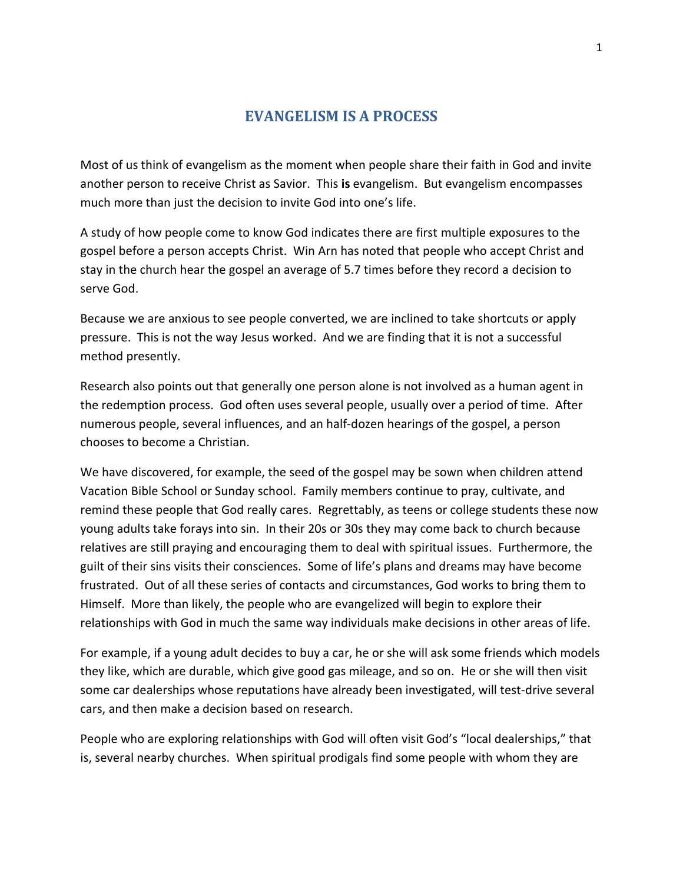## **EVANGELISM IS A PROCESS**

Most of us think of evangelism as the moment when people share their faith in God and invite another person to receive Christ as Savior. This **is** evangelism. But evangelism encompasses much more than just the decision to invite God into one's life.

A study of how people come to know God indicates there are first multiple exposures to the gospel before a person accepts Christ. Win Arn has noted that people who accept Christ and stay in the church hear the gospel an average of 5.7 times before they record a decision to serve God.

Because we are anxious to see people converted, we are inclined to take shortcuts or apply pressure. This is not the way Jesus worked. And we are finding that it is not a successful method presently.

Research also points out that generally one person alone is not involved as a human agent in the redemption process. God often uses several people, usually over a period of time. After numerous people, several influences, and an half-dozen hearings of the gospel, a person chooses to become a Christian.

We have discovered, for example, the seed of the gospel may be sown when children attend Vacation Bible School or Sunday school. Family members continue to pray, cultivate, and remind these people that God really cares. Regrettably, as teens or college students these now young adults take forays into sin. In their 20s or 30s they may come back to church because relatives are still praying and encouraging them to deal with spiritual issues. Furthermore, the guilt of their sins visits their consciences. Some of life's plans and dreams may have become frustrated. Out of all these series of contacts and circumstances, God works to bring them to Himself. More than likely, the people who are evangelized will begin to explore their relationships with God in much the same way individuals make decisions in other areas of life.

For example, if a young adult decides to buy a car, he or she will ask some friends which models they like, which are durable, which give good gas mileage, and so on. He or she will then visit some car dealerships whose reputations have already been investigated, will test-drive several cars, and then make a decision based on research.

People who are exploring relationships with God will often visit God's "local dealerships," that is, several nearby churches. When spiritual prodigals find some people with whom they are